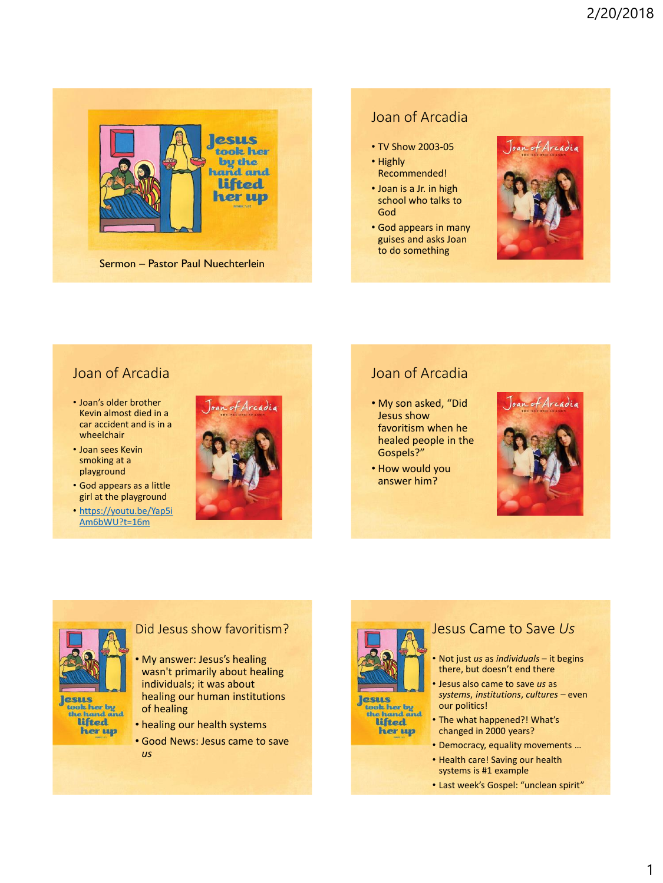

### Joan of Arcadia

- TV Show 2003-05
- Highly Recommended!
- Joan is a Jr. in high school who talks to God
- God appears in many guises and asks Joan to do something



#### Joan of Arcadia

- Joan's older brother Kevin almost died in a car accident and is in a wheelchair
- Joan sees Kevin smoking at a playground
- God appears as a little girl at the playground
- [https://youtu.be/Yap5i](https://youtu.be/Yap5iAm6bWU?t=16m) Am6bWU?t=16m



## Joan of Arcadia

- My son asked, "Did Jesus show favoritism when he healed people in the Gospels?"
- How would you answer him?





Jesus<br>took her by<br>the hand and **lifted** her up

### Did Jesus show favoritism?

• My answer: Jesus's healing wasn't primarily about healing individuals; it was about healing our human institutions of healing

- healing our health systems
- Good News: Jesus came to save *us*



# Jesus Came to Save *Us*

- Not just *us* as *individuals* it begins there, but doesn't end there
- Jesus also came to save *us* as *systems*, *institutions*, *cultures* – even our politics!
- The what happened?! What's changed in 2000 years?
- Democracy, equality movements …
- Health care! Saving our health systems is #1 example
- Last week's Gospel: "unclean spirit"